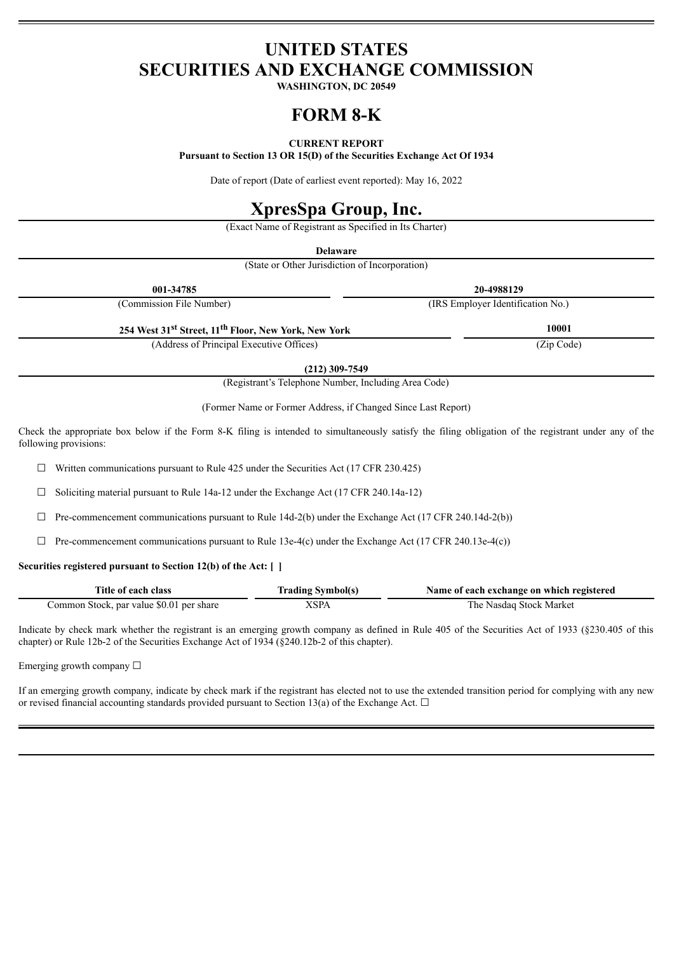# **UNITED STATES SECURITIES AND EXCHANGE COMMISSION**

**WASHINGTON, DC 20549**

# **FORM 8-K**

# **CURRENT REPORT**

**Pursuant to Section 13 OR 15(D) of the Securities Exchange Act Of 1934**

Date of report (Date of earliest event reported): May 16, 2022

# **XpresSpa Group, Inc.**

(Exact Name of Registrant as Specified in Its Charter)

**Delaware**

(State or Other Jurisdiction of Incorporation)

| 001-34785                                                                    | 20-4988129                        |  |
|------------------------------------------------------------------------------|-----------------------------------|--|
| (Commission File Number)                                                     | (IRS Employer Identification No.) |  |
| 254 West 31 <sup>st</sup> Street, 11 <sup>th</sup> Floor, New York, New York | 10001                             |  |
| (Address of Principal Executive Offices)                                     | (Zip Code)                        |  |

**(212) 309-7549**

(Registrant's Telephone Number, Including Area Code)

(Former Name or Former Address, if Changed Since Last Report)

Check the appropriate box below if the Form 8-K filing is intended to simultaneously satisfy the filing obligation of the registrant under any of the following provisions:

 $\Box$  Written communications pursuant to Rule 425 under the Securities Act (17 CFR 230.425)

 $\Box$  Soliciting material pursuant to Rule 14a-12 under the Exchange Act (17 CFR 240.14a-12)

 $\Box$  Pre-commencement communications pursuant to Rule 14d-2(b) under the Exchange Act (17 CFR 240.14d-2(b))

 $\Box$  Pre-commencement communications pursuant to Rule 13e-4(c) under the Exchange Act (17 CFR 240.13e-4(c))

## **Securities registered pursuant to Section 12(b) of the Act: [ ]**

| Title of each class                      | <b>Trading Symbol(s)</b> | Name of each exchange on which registered |
|------------------------------------------|--------------------------|-------------------------------------------|
| Common Stock, par value \$0.01 per share | XSPA                     | The Nasdaq Stock Market                   |

Indicate by check mark whether the registrant is an emerging growth company as defined in Rule 405 of the Securities Act of 1933 (§230.405 of this chapter) or Rule 12b-2 of the Securities Exchange Act of 1934 (§240.12b-2 of this chapter).

Emerging growth company  $\Box$ 

If an emerging growth company, indicate by check mark if the registrant has elected not to use the extended transition period for complying with any new or revised financial accounting standards provided pursuant to Section 13(a) of the Exchange Act.  $\Box$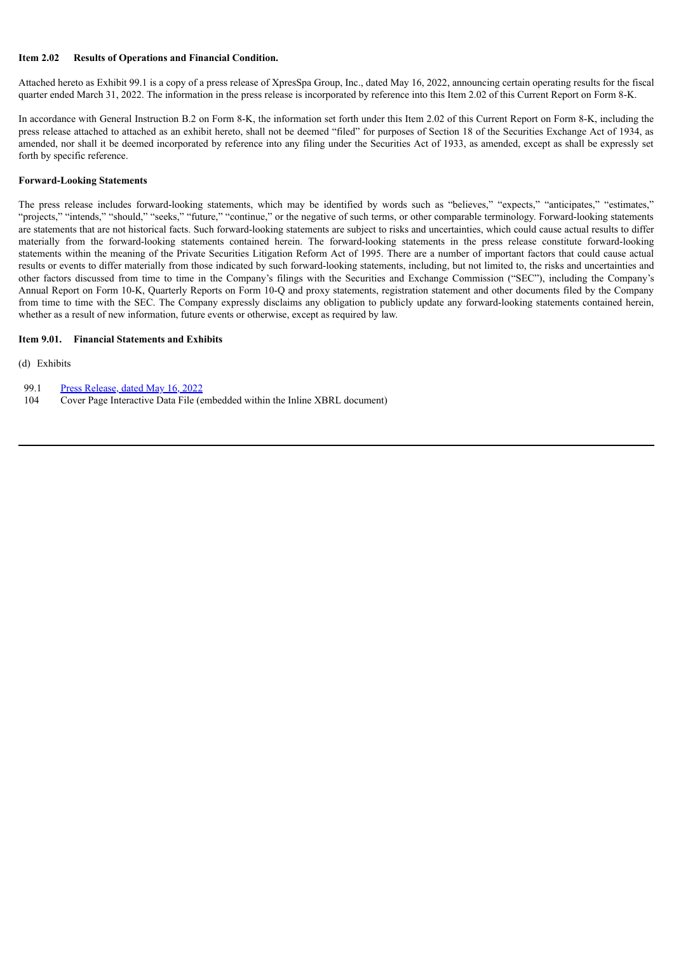#### **Item 2.02 Results of Operations and Financial Condition.**

Attached hereto as Exhibit 99.1 is a copy of a press release of XpresSpa Group, Inc., dated May 16, 2022, announcing certain operating results for the fiscal quarter ended March 31, 2022. The information in the press release is incorporated by reference into this Item 2.02 of this Current Report on Form 8-K.

In accordance with General Instruction B.2 on Form 8-K, the information set forth under this Item 2.02 of this Current Report on Form 8-K, including the press release attached to attached as an exhibit hereto, shall not be deemed "filed" for purposes of Section 18 of the Securities Exchange Act of 1934, as amended, nor shall it be deemed incorporated by reference into any filing under the Securities Act of 1933, as amended, except as shall be expressly set forth by specific reference.

#### **Forward-Looking Statements**

The press release includes forward-looking statements, which may be identified by words such as "believes," "expects," "anticipates," "estimates," "projects," "intends," "should," "seeks," "future," "continue," or the negative of such terms, or other comparable terminology. Forward-looking statements are statements that are not historical facts. Such forward-looking statements are subject to risks and uncertainties, which could cause actual results to differ materially from the forward-looking statements contained herein. The forward-looking statements in the press release constitute forward-looking statements within the meaning of the Private Securities Litigation Reform Act of 1995. There are a number of important factors that could cause actual results or events to differ materially from those indicated by such forward-looking statements, including, but not limited to, the risks and uncertainties and other factors discussed from time to time in the Company's filings with the Securities and Exchange Commission ("SEC"), including the Company's Annual Report on Form 10-K, Quarterly Reports on Form 10-Q and proxy statements, registration statement and other documents filed by the Company from time to time with the SEC. The Company expressly disclaims any obligation to publicly update any forward-looking statements contained herein, whether as a result of new information, future events or otherwise, except as required by law.

#### **Item 9.01. Financial Statements and Exhibits**

#### (d) Exhibits

- 99.1 Press [Release,](#page-3-0) dated May 16, 2022
- 104 Cover Page Interactive Data File (embedded within the Inline XBRL document)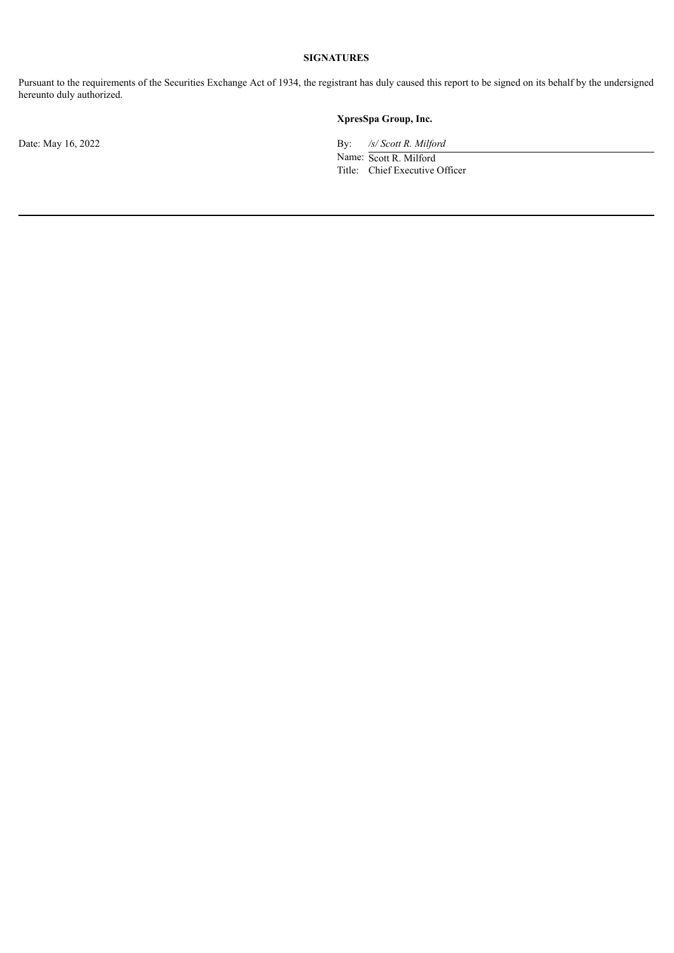# **SIGNATURES**

Pursuant to the requirements of the Securities Exchange Act of 1934, the registrant has duly caused this report to be signed on its behalf by the undersigned hereunto duly authorized.

# **XpresSpa Group, Inc.**

Date: May 16, 2022 By: */s/ Scott R. Milford*

Name: Scott R. Milford Title: Chief Executive Officer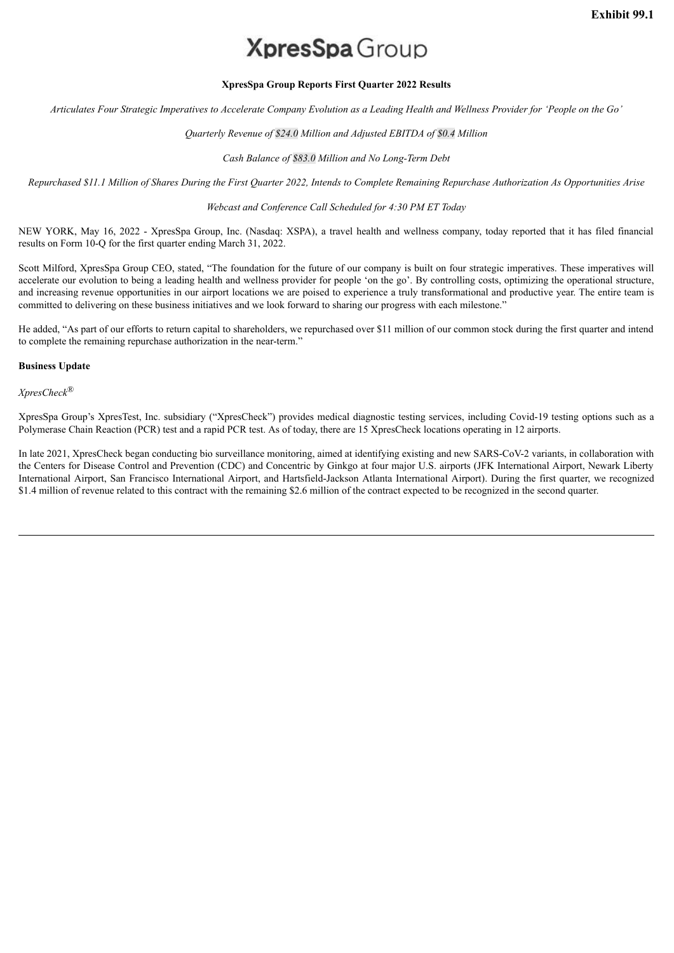# **XpresSpa** Group

## **XpresSpa Group Reports First Quarter 2022 Results**

<span id="page-3-0"></span>Articulates Four Strategic Imperatives to Accelerate Company Evolution as a Leading Health and Wellness Provider for 'People on the Go'

### *Quarterly Revenue of \$24.0 Million and Adjusted EBITDA of \$0.4 Million*

#### *Cash Balance of \$83.0 Million and No Long-Term Debt*

Repurchased \$11.1 Million of Shares During the First Quarter 2022, Intends to Complete Remaining Repurchase Authorization As Opportunities Arise

#### *Webcast and Conference Call Scheduled for 4:30 PM ET Today*

NEW YORK, May 16, 2022 - XpresSpa Group, Inc. (Nasdaq: XSPA), a travel health and wellness company, today reported that it has filed financial results on Form 10-Q for the first quarter ending March 31, 2022.

Scott Milford, XpresSpa Group CEO, stated, "The foundation for the future of our company is built on four strategic imperatives. These imperatives will accelerate our evolution to being a leading health and wellness provider for people 'on the go'. By controlling costs, optimizing the operational structure, and increasing revenue opportunities in our airport locations we are poised to experience a truly transformational and productive year. The entire team is committed to delivering on these business initiatives and we look forward to sharing our progress with each milestone."

He added, "As part of our efforts to return capital to shareholders, we repurchased over \$11 million of our common stock during the first quarter and intend to complete the remaining repurchase authorization in the near-term."

# **Business Update**

*XpresCheck*®

XpresSpa Group's XpresTest, Inc. subsidiary ("XpresCheck") provides medical diagnostic testing services, including Covid-19 testing options such as a Polymerase Chain Reaction (PCR) test and a rapid PCR test. As of today, there are 15 XpresCheck locations operating in 12 airports.

In late 2021, XpresCheck began conducting bio surveillance monitoring, aimed at identifying existing and new SARS-CoV-2 variants, in collaboration with the Centers for Disease Control and Prevention (CDC) and Concentric by Ginkgo at four major U.S. airports (JFK International Airport, Newark Liberty International Airport, San Francisco International Airport, and Hartsfield-Jackson Atlanta International Airport). During the first quarter, we recognized \$1.4 million of revenue related to this contract with the remaining \$2.6 million of the contract expected to be recognized in the second quarter.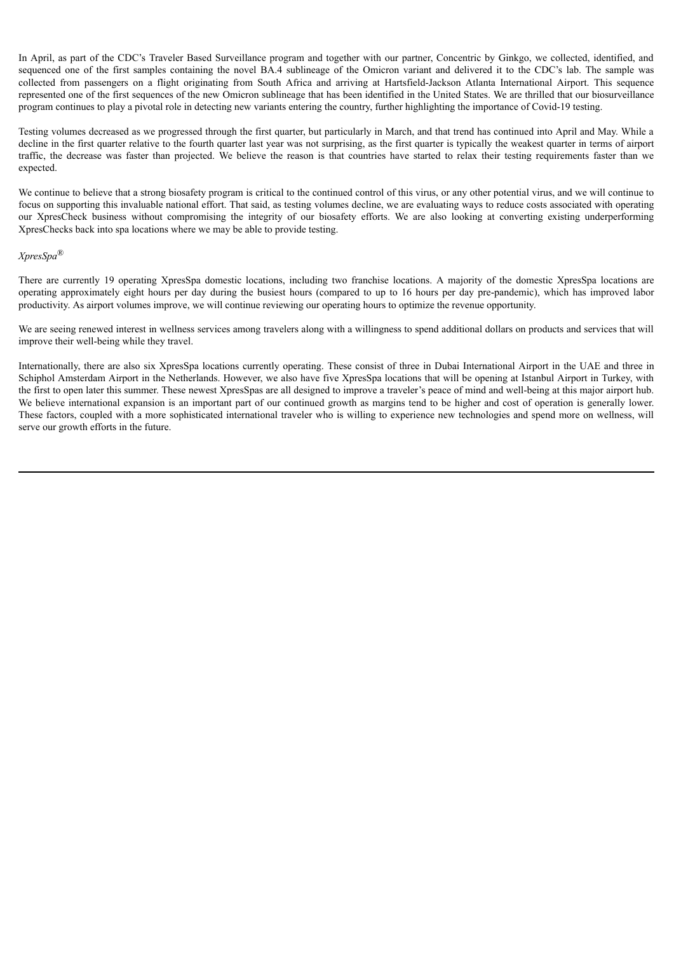In April, as part of the CDC's Traveler Based Surveillance program and together with our partner, Concentric by Ginkgo, we collected, identified, and sequenced one of the first samples containing the novel BA.4 sublineage of the Omicron variant and delivered it to the CDC's lab. The sample was collected from passengers on a flight originating from South Africa and arriving at Hartsfield-Jackson Atlanta International Airport. This sequence represented one of the first sequences of the new Omicron sublineage that has been identified in the United States. We are thrilled that our biosurveillance program continues to play a pivotal role in detecting new variants entering the country, further highlighting the importance of Covid-19 testing.

Testing volumes decreased as we progressed through the first quarter, but particularly in March, and that trend has continued into April and May. While a decline in the first quarter relative to the fourth quarter last year was not surprising, as the first quarter is typically the weakest quarter in terms of airport traffic, the decrease was faster than projected. We believe the reason is that countries have started to relax their testing requirements faster than we expected.

We continue to believe that a strong biosafety program is critical to the continued control of this virus, or any other potential virus, and we will continue to focus on supporting this invaluable national effort. That said, as testing volumes decline, we are evaluating ways to reduce costs associated with operating our XpresCheck business without compromising the integrity of our biosafety efforts. We are also looking at converting existing underperforming XpresChecks back into spa locations where we may be able to provide testing.

## *XpresSpa*®

There are currently 19 operating XpresSpa domestic locations, including two franchise locations. A majority of the domestic XpresSpa locations are operating approximately eight hours per day during the busiest hours (compared to up to 16 hours per day pre-pandemic), which has improved labor productivity. As airport volumes improve, we will continue reviewing our operating hours to optimize the revenue opportunity.

We are seeing renewed interest in wellness services among travelers along with a willingness to spend additional dollars on products and services that will improve their well-being while they travel.

Internationally, there are also six XpresSpa locations currently operating. These consist of three in Dubai International Airport in the UAE and three in Schiphol Amsterdam Airport in the Netherlands. However, we also have five XpresSpa locations that will be opening at Istanbul Airport in Turkey, with the first to open later this summer. These newest XpresSpas are all designed to improve a traveler's peace of mind and well-being at this major airport hub. We believe international expansion is an important part of our continued growth as margins tend to be higher and cost of operation is generally lower. These factors, coupled with a more sophisticated international traveler who is willing to experience new technologies and spend more on wellness, will serve our growth efforts in the future.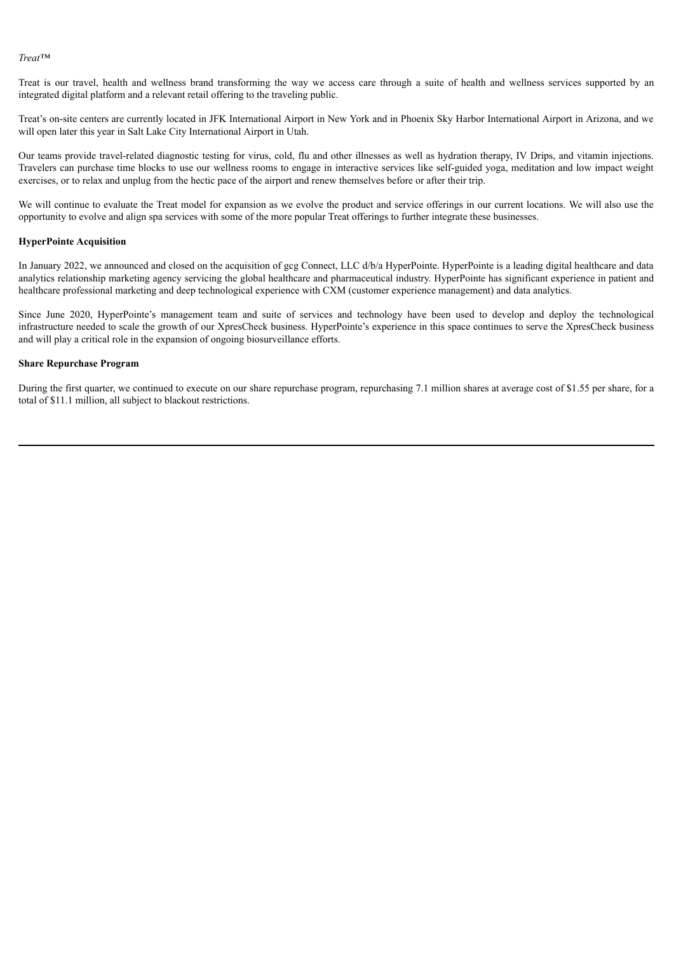*Treat™*

Treat is our travel, health and wellness brand transforming the way we access care through a suite of health and wellness services supported by an integrated digital platform and a relevant retail offering to the traveling public.

Treat's on-site centers are currently located in JFK International Airport in New York and in Phoenix Sky Harbor International Airport in Arizona, and we will open later this year in Salt Lake City International Airport in Utah.

Our teams provide travel-related diagnostic testing for virus, cold, flu and other illnesses as well as hydration therapy, IV Drips, and vitamin injections. Travelers can purchase time blocks to use our wellness rooms to engage in interactive services like self-guided yoga, meditation and low impact weight exercises, or to relax and unplug from the hectic pace of the airport and renew themselves before or after their trip.

We will continue to evaluate the Treat model for expansion as we evolve the product and service offerings in our current locations. We will also use the opportunity to evolve and align spa services with some of the more popular Treat offerings to further integrate these businesses.

#### **HyperPointe Acquisition**

In January 2022, we announced and closed on the acquisition of gcg Connect, LLC d/b/a HyperPointe. HyperPointe is a leading digital healthcare and data analytics relationship marketing agency servicing the global healthcare and pharmaceutical industry. HyperPointe has significant experience in patient and healthcare professional marketing and deep technological experience with CXM (customer experience management) and data analytics.

Since June 2020, HyperPointe's management team and suite of services and technology have been used to develop and deploy the technological infrastructure needed to scale the growth of our XpresCheck business. HyperPointe's experience in this space continues to serve the XpresCheck business and will play a critical role in the expansion of ongoing biosurveillance efforts.

#### **Share Repurchase Program**

During the first quarter, we continued to execute on our share repurchase program, repurchasing 7.1 million shares at average cost of \$1.55 per share, for a total of \$11.1 million, all subject to blackout restrictions.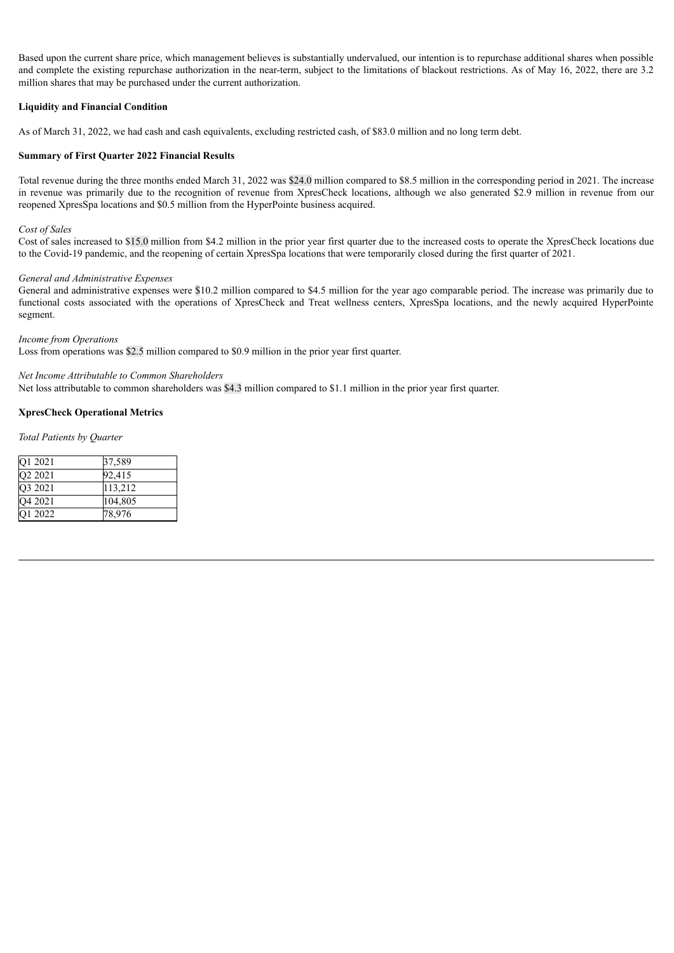Based upon the current share price, which management believes is substantially undervalued, our intention is to repurchase additional shares when possible and complete the existing repurchase authorization in the near-term, subject to the limitations of blackout restrictions. As of May 16, 2022, there are 3.2 million shares that may be purchased under the current authorization.

# **Liquidity and Financial Condition**

As of March 31, 2022, we had cash and cash equivalents, excluding restricted cash, of \$83.0 million and no long term debt.

## **Summary of First Quarter 2022 Financial Results**

Total revenue during the three months ended March 31, 2022 was \$24.0 million compared to \$8.5 million in the corresponding period in 2021. The increase in revenue was primarily due to the recognition of revenue from XpresCheck locations, although we also generated \$2.9 million in revenue from our reopened XpresSpa locations and \$0.5 million from the HyperPointe business acquired.

#### *Cost of Sales*

Cost of sales increased to \$15.0 million from \$4.2 million in the prior year first quarter due to the increased costs to operate the XpresCheck locations due to the Covid-19 pandemic, and the reopening of certain XpresSpa locations that were temporarily closed during the first quarter of 2021.

#### *General and Administrative Expenses*

General and administrative expenses were \$10.2 million compared to \$4.5 million for the year ago comparable period. The increase was primarily due to functional costs associated with the operations of XpresCheck and Treat wellness centers, XpresSpa locations, and the newly acquired HyperPointe segment.

#### *Income from Operations*

Loss from operations was \$2.5 million compared to \$0.9 million in the prior year first quarter.

#### *Net Income Attributable to Common Shareholders*

Net loss attributable to common shareholders was \$4.3 million compared to \$1.1 million in the prior year first quarter.

# **XpresCheck Operational Metrics**

*Total Patients by Quarter*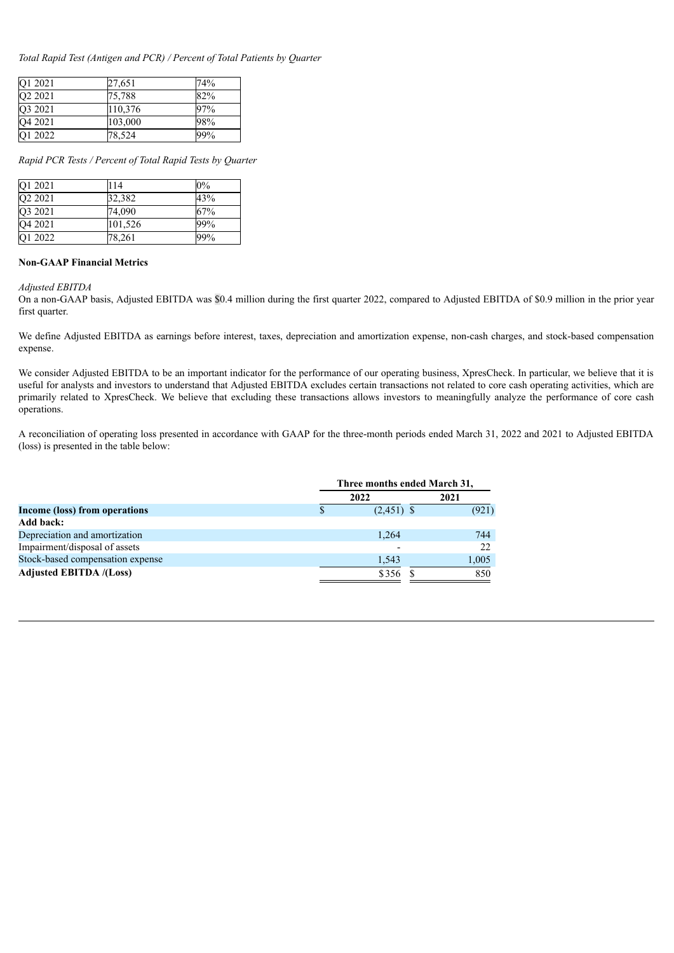*Total Rapid Test (Antigen and PCR) / Percent of Total Patients by Quarter*

| O1 2021             | 27.651  | 74% |
|---------------------|---------|-----|
| O <sub>2</sub> 2021 | 75,788  | 82% |
| Q3 2021             | 110,376 | 97% |
| O <sub>4</sub> 2021 | 103,000 | 98% |
| O1 2022             | 78,524  | 99% |

*Rapid PCR Tests / Percent of Total Rapid Tests by Quarter*

| O1 2021             | 114     | $0\%$ |
|---------------------|---------|-------|
| O <sub>2</sub> 2021 | 32,382  | 43%   |
| O3 2021             | 74.090  | 67%   |
| Q4 2021             | 101,526 | 99%   |
| O1 2022             | 78,261  | 99%   |

#### **Non-GAAP Financial Metrics**

#### *Adjusted EBITDA*

On a non-GAAP basis, Adjusted EBITDA was \$0.4 million during the first quarter 2022, compared to Adjusted EBITDA of \$0.9 million in the prior year first quarter.

We define Adjusted EBITDA as earnings before interest, taxes, depreciation and amortization expense, non-cash charges, and stock-based compensation expense.

We consider Adjusted EBITDA to be an important indicator for the performance of our operating business, XpresCheck. In particular, we believe that it is useful for analysts and investors to understand that Adjusted EBITDA excludes certain transactions not related to core cash operating activities, which are primarily related to XpresCheck. We believe that excluding these transactions allows investors to meaningfully analyze the performance of core cash operations.

A reconciliation of operating loss presented in accordance with GAAP for the three-month periods ended March 31, 2022 and 2021 to Adjusted EBITDA (loss) is presented in the table below:

|                                  | Three months ended March 31, |                       |  |
|----------------------------------|------------------------------|-----------------------|--|
|                                  | 2022                         | 2021                  |  |
| Income (loss) from operations    |                              | (921)<br>$(2,451)$ \$ |  |
| Add back:                        |                              |                       |  |
| Depreciation and amortization    |                              | 744<br>1,264          |  |
| Impairment/disposal of assets    |                              | 22                    |  |
| Stock-based compensation expense |                              | 1,005<br>1,543        |  |
| <b>Adjusted EBITDA /(Loss)</b>   |                              | 850<br>\$356          |  |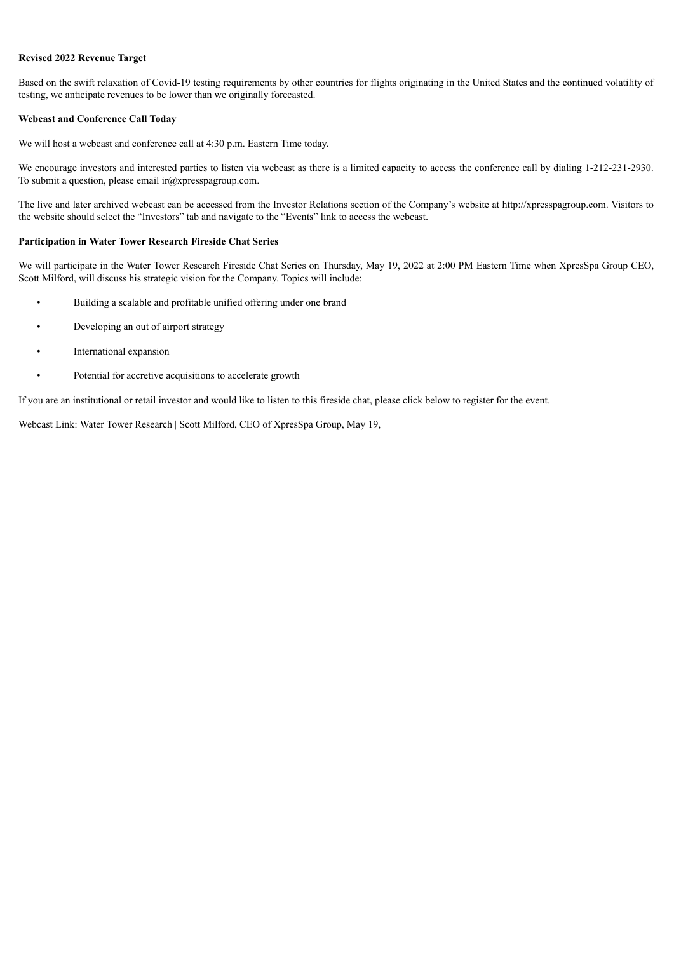#### **Revised 2022 Revenue Target**

Based on the swift relaxation of Covid-19 testing requirements by other countries for flights originating in the United States and the continued volatility of testing, we anticipate revenues to be lower than we originally forecasted.

#### **Webcast and Conference Call Today**

We will host a webcast and conference call at 4:30 p.m. Eastern Time today.

We encourage investors and interested parties to listen via webcast as there is a limited capacity to access the conference call by dialing 1-212-231-2930. To submit a question, please email  $ir@xprespagroup.com$ .

The live and later archived webcast can be accessed from the Investor Relations section of the Company's website at http://xpresspagroup.com. Visitors to the website should select the "Investors" tab and navigate to the "Events" link to access the webcast.

#### **Participation in Water Tower Research Fireside Chat Series**

We will participate in the Water Tower Research Fireside Chat Series on Thursday, May 19, 2022 at 2:00 PM Eastern Time when XpresSpa Group CEO, Scott Milford, will discuss his strategic vision for the Company. Topics will include:

- Building a scalable and profitable unified offering under one brand
- Developing an out of airport strategy
- International expansion
- Potential for accretive acquisitions to accelerate growth

If you are an institutional or retail investor and would like to listen to this fireside chat, please click below to register for the event.

Webcast Link: Water Tower Research | Scott Milford, CEO of XpresSpa Group, May 19,